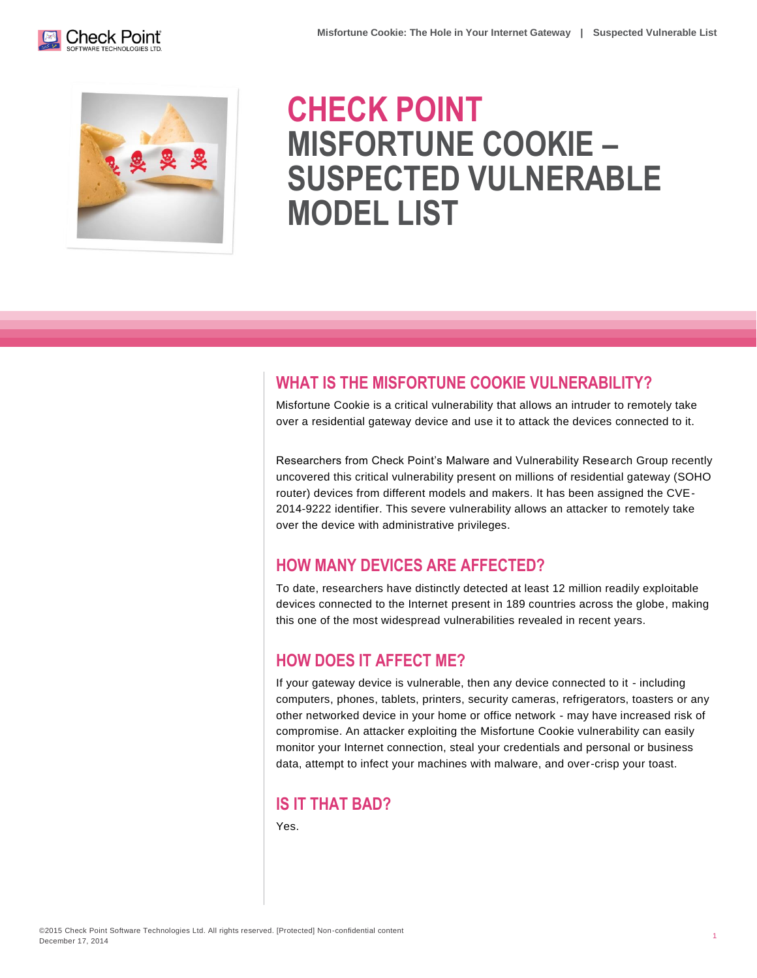



# **CHECK POINT MISFORTUNE COOKIE – SUSPECTED VULNERABLE MODEL LIST**

## **WHAT IS THE MISFORTUNE COOKIE VULNERABILITY?**

Misfortune Cookie is a critical vulnerability that allows an intruder to remotely take over a residential gateway device and use it to attack the devices connected to it.

Researchers from Check Point's Malware and Vulnerability Research Group recently uncovered this critical vulnerability present on millions of residential gateway (SOHO router) devices from different models and makers. It has been assigned the CVE-2014-9222 identifier. This severe vulnerability allows an attacker to remotely take over the device with administrative privileges.

## **HOW MANY DEVICES ARE AFFECTED?**

To date, researchers have distinctly detected at least 12 million readily exploitable devices connected to the Internet present in 189 countries across the globe, making this one of the most widespread vulnerabilities revealed in recent years.

## **HOW DOES IT AFFECT ME?**

If your gateway device is vulnerable, then any device connected to it - including computers, phones, tablets, printers, security cameras, refrigerators, toasters or any other networked device in your home or office network - may have increased risk of compromise. An attacker exploiting the Misfortune Cookie vulnerability can easily monitor your Internet connection, steal your credentials and personal or business data, attempt to infect your machines with malware, and over-crisp your toast.

#### **IS IT THAT BAD?**

Yes.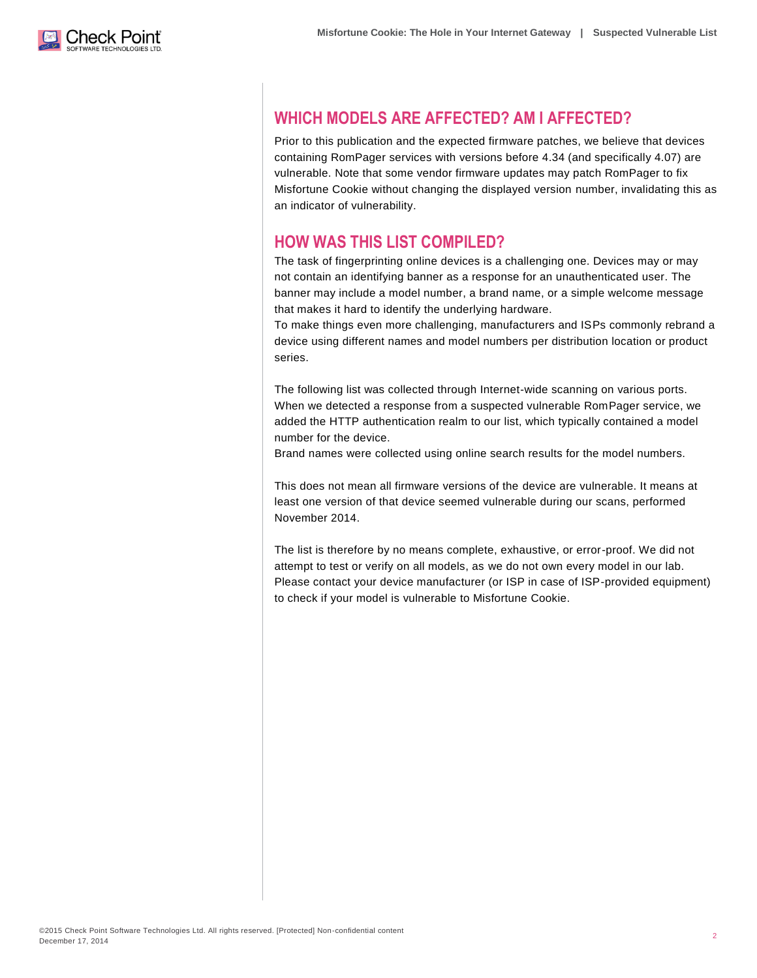

# **WHICH MODELS ARE AFFECTED? AM I AFFECTED?**

Prior to this publication and the expected firmware patches, we believe that devices containing RomPager services with versions before 4.34 (and specifically 4.07) are vulnerable. Note that some vendor firmware updates may patch RomPager to fix Misfortune Cookie without changing the displayed version number, invalidating this as an indicator of vulnerability.

#### **HOW WAS THIS LIST COMPILED?**

The task of fingerprinting online devices is a challenging one. Devices may or may not contain an identifying banner as a response for an unauthenticated user. The banner may include a model number, a brand name, or a simple welcome message that makes it hard to identify the underlying hardware.

To make things even more challenging, manufacturers and ISPs commonly rebrand a device using different names and model numbers per distribution location or product series.

The following list was collected through Internet-wide scanning on various ports. When we detected a response from a suspected vulnerable RomPager service, we added the HTTP authentication realm to our list, which typically contained a model number for the device.

Brand names were collected using online search results for the model numbers.

This does not mean all firmware versions of the device are vulnerable. It means at least one version of that device seemed vulnerable during our scans, performed November 2014.

The list is therefore by no means complete, exhaustive, or error-proof. We did not attempt to test or verify on all models, as we do not own every model in our lab. Please contact your device manufacturer (or ISP in case of ISP-provided equipment) to check if your model is vulnerable to Misfortune Cookie.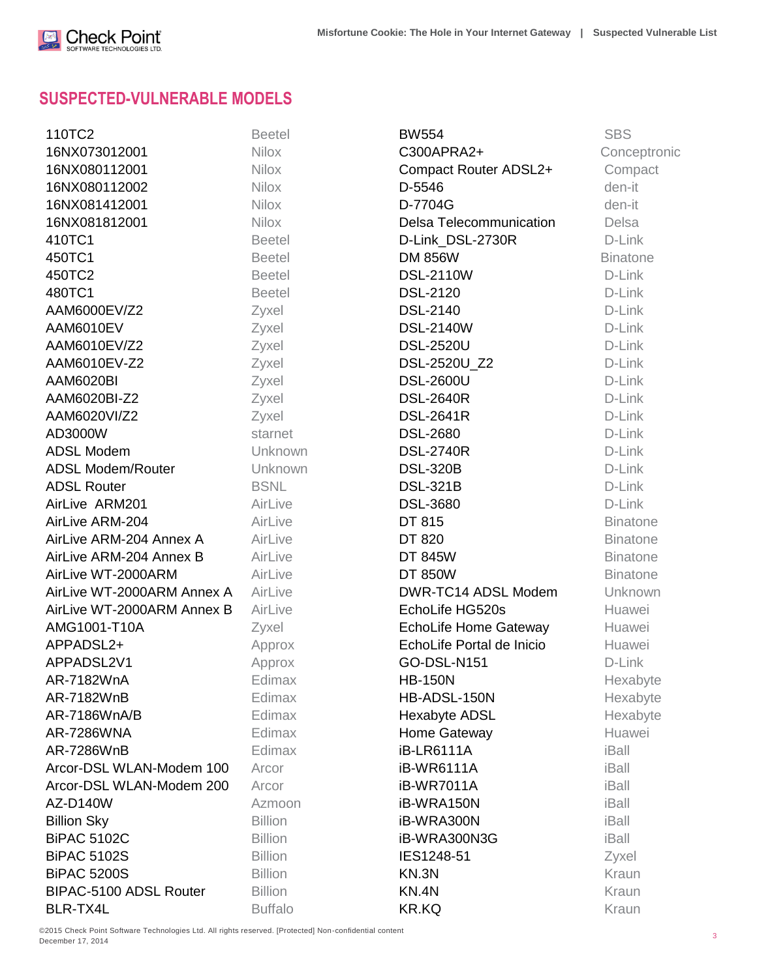

# **SUSPECTED-VULNERABLE MODELS**

| 110TC2                     | <b>Beetel</b>  | <b>BW554</b>              | <b>SBS</b>      |
|----------------------------|----------------|---------------------------|-----------------|
| 16NX073012001              | <b>Nilox</b>   | C300APRA2+                | Conceptronic    |
| 16NX080112001              | <b>Nilox</b>   | Compact Router ADSL2+     | Compact         |
| 16NX080112002              | <b>Nilox</b>   | D-5546                    | den-it          |
| 16NX081412001              | <b>Nilox</b>   | D-7704G                   | den-it          |
| 16NX081812001              | <b>Nilox</b>   | Delsa Telecommunication   | <b>Delsa</b>    |
| 410TC1                     | <b>Beetel</b>  | D-Link_DSL-2730R          | D-Link          |
| 450TC1                     | <b>Beetel</b>  | <b>DM 856W</b>            | <b>Binatone</b> |
| 450TC2                     | <b>Beetel</b>  | <b>DSL-2110W</b>          | D-Link          |
| 480TC1                     | <b>Beetel</b>  | <b>DSL-2120</b>           | D-Link          |
| AAM6000EV/Z2               | Zyxel          | <b>DSL-2140</b>           | D-Link          |
| AAM6010EV                  | Zyxel          | <b>DSL-2140W</b>          | D-Link          |
| AAM6010EV/Z2               | Zyxel          | <b>DSL-2520U</b>          | D-Link          |
| AAM6010EV-Z2               | Zyxel          | DSL-2520U_Z2              | D-Link          |
| AAM6020BI                  | Zyxel          | <b>DSL-2600U</b>          | D-Link          |
| AAM6020BI-Z2               | Zyxel          | <b>DSL-2640R</b>          | D-Link          |
| AAM6020VI/Z2               | Zyxel          | <b>DSL-2641R</b>          | D-Link          |
| AD3000W                    | starnet        | <b>DSL-2680</b>           | D-Link          |
| <b>ADSL Modem</b>          | Unknown        | <b>DSL-2740R</b>          | D-Link          |
| <b>ADSL Modem/Router</b>   | Unknown        | <b>DSL-320B</b>           | D-Link          |
| <b>ADSL Router</b>         | <b>BSNL</b>    | <b>DSL-321B</b>           | D-Link          |
| AirLive ARM201             | AirLive        | <b>DSL-3680</b>           | D-Link          |
| AirLive ARM-204            | AirLive        | DT 815                    | <b>Binatone</b> |
| AirLive ARM-204 Annex A    | AirLive        | DT 820                    | <b>Binatone</b> |
| AirLive ARM-204 Annex B    | AirLive        | <b>DT 845W</b>            | <b>Binatone</b> |
| AirLive WT-2000ARM         | AirLive        | <b>DT 850W</b>            | <b>Binatone</b> |
| AirLive WT-2000ARM Annex A | AirLive        | DWR-TC14 ADSL Modem       | Unknown         |
| AirLive WT-2000ARM Annex B | AirLive        | EchoLife HG520s           | Huawei          |
| AMG1001-T10A               | Zyxel          | EchoLife Home Gateway     | Huawei          |
| APPADSL2+                  | Approx         | EchoLife Portal de Inicio | Huawei          |
| APPADSL2V1                 | Approx         | GO-DSL-N151               | D-Link          |
| AR-7182WnA                 | Edimax         | <b>HB-150N</b>            | Hexabyte        |
| AR-7182WnB                 | Edimax         | HB-ADSL-150N              | Hexabyte        |
| AR-7186WnA/B               | Edimax         | Hexabyte ADSL             | Hexabyte        |
| <b>AR-7286WNA</b>          | Edimax         | Home Gateway              | Huawei          |
| AR-7286WnB                 | Edimax         | <b>iB-LR6111A</b>         | iBall           |
| Arcor-DSL WLAN-Modem 100   | Arcor          | iB-WR6111A                | iBall           |
| Arcor-DSL WLAN-Modem 200   | Arcor          | iB-WR7011A                | iBall           |
| AZ-D140W                   | Azmoon         | iB-WRA150N                | iBall           |
| <b>Billion Sky</b>         | <b>Billion</b> | iB-WRA300N                | iBall           |
| <b>BiPAC 5102C</b>         | <b>Billion</b> | iB-WRA300N3G              | iBall           |
| <b>BiPAC 5102S</b>         | <b>Billion</b> | IES1248-51                | Zyxel           |
| <b>BiPAC 5200S</b>         | <b>Billion</b> | KN.3N                     | Kraun           |
| BIPAC-5100 ADSL Router     | <b>Billion</b> | KN.4N                     | Kraun           |
| BLR-TX4L                   | <b>Buffalo</b> | <b>KR.KQ</b>              | Kraun           |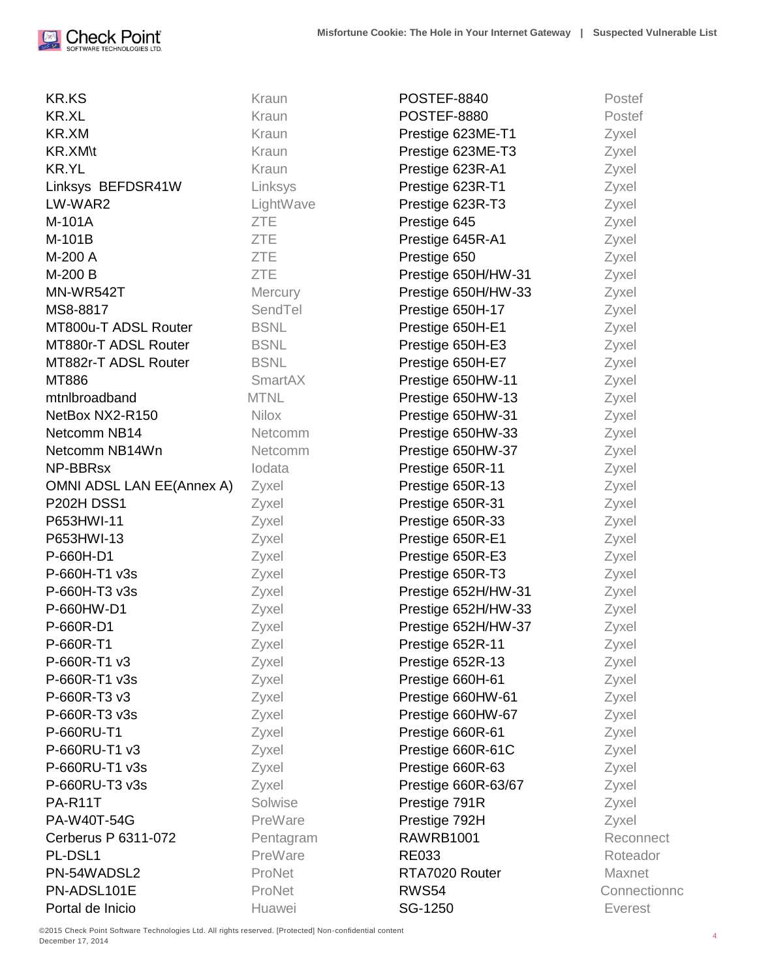

| <b>KR.KS</b>              | Kraun        | POSTEF-8840         | Postef         |
|---------------------------|--------------|---------------------|----------------|
| <b>KR.XL</b>              | Kraun        | <b>POSTEF-8880</b>  | Postef         |
| KR.XM                     | Kraun        | Prestige 623ME-T1   | Zyxel          |
| <b>KR.XM\t</b>            | Kraun        | Prestige 623ME-T3   | Zyxel          |
| <b>KR.YL</b>              | Kraun        | Prestige 623R-A1    | Zyxel          |
| Linksys BEFDSR41W         | Linksys      | Prestige 623R-T1    | Zyxel          |
| LW-WAR2                   | LightWave    | Prestige 623R-T3    | Zyxel          |
| M-101A                    | <b>ZTE</b>   | Prestige 645        | Zyxel          |
| M-101B                    | <b>ZTE</b>   | Prestige 645R-A1    | Zyxel          |
| M-200 A                   | <b>ZTE</b>   | Prestige 650        | Zyxel          |
| M-200 B                   | <b>ZTE</b>   | Prestige 650H/HW-31 | Zyxel          |
| MN-WR542T                 | Mercury      | Prestige 650H/HW-33 | Zyxel          |
| MS8-8817                  | SendTel      | Prestige 650H-17    | Zyxel          |
| MT800u-T ADSL Router      | <b>BSNL</b>  | Prestige 650H-E1    | Zyxel          |
| MT880r-T ADSL Router      | <b>BSNL</b>  | Prestige 650H-E3    | Zyxel          |
| MT882r-T ADSL Router      | <b>BSNL</b>  | Prestige 650H-E7    | Zyxel          |
| MT886                     | SmartAX      | Prestige 650HW-11   | Zyxel          |
| mtnlbroadband             | <b>MTNL</b>  | Prestige 650HW-13   | Zyxel          |
| NetBox NX2-R150           | <b>Nilox</b> | Prestige 650HW-31   | Zyxel          |
| Netcomm NB14              | Netcomm      | Prestige 650HW-33   | Zyxel          |
| Netcomm NB14Wn            | Netcomm      | Prestige 650HW-37   | Zyxel          |
| NP-BBRsx                  | lodata       | Prestige 650R-11    | Zyxel          |
| OMNI ADSL LAN EE(Annex A) | Zyxel        | Prestige 650R-13    | Zyxel          |
| <b>P202H DSS1</b>         | Zyxel        | Prestige 650R-31    | Zyxel          |
| P653HWI-11                | Zyxel        | Prestige 650R-33    | Zyxel          |
| P653HWI-13                | Zyxel        | Prestige 650R-E1    | Zyxel          |
| P-660H-D1                 | Zyxel        | Prestige 650R-E3    | Zyxel          |
| P-660H-T1 v3s             | Zyxel        | Prestige 650R-T3    | Zyxel          |
| P-660H-T3 v3s             | Zyxel        | Prestige 652H/HW-31 | Zyxel          |
| P-660HW-D1                | Zyxel        | Prestige 652H/HW-33 | Zyxel          |
| P-660R-D1                 | Zyxel        | Prestige 652H/HW-37 | Zyxel          |
| P-660R-T1                 | Zyxel        | Prestige 652R-11    | Zyxel          |
| P-660R-T1 v3              | Zyxel        | Prestige 652R-13    | Zyxel          |
| P-660R-T1 v3s             | Zyxel        | Prestige 660H-61    | Zyxel          |
| P-660R-T3 v3              | Zyxel        | Prestige 660HW-61   | Zyxel          |
| P-660R-T3 v3s             | Zyxel        | Prestige 660HW-67   | Zyxel          |
| P-660RU-T1                | Zyxel        | Prestige 660R-61    | Zyxel          |
| P-660RU-T1 v3             | Zyxel        | Prestige 660R-61C   | Zyxel          |
| P-660RU-T1 v3s            | Zyxel        | Prestige 660R-63    | Zyxel          |
| P-660RU-T3 v3s            | Zyxel        | Prestige 660R-63/67 | Zyxel          |
| PA-R11T                   | Solwise      | Prestige 791R       | Zyxel          |
| PA-W40T-54G               | PreWare      | Prestige 792H       | Zyxel          |
| Cerberus P 6311-072       | Pentagram    | <b>RAWRB1001</b>    | Reconnect      |
| PL-DSL1                   | PreWare      | <b>RE033</b>        | Roteador       |
| PN-54WADSL2               | ProNet       | RTA7020 Router      | Maxnet         |
| PN-ADSL101E               | ProNet       | RWS54               | Connectionno   |
| Portal de Inicio          | Huawei       | SG-1250             | <b>Everest</b> |